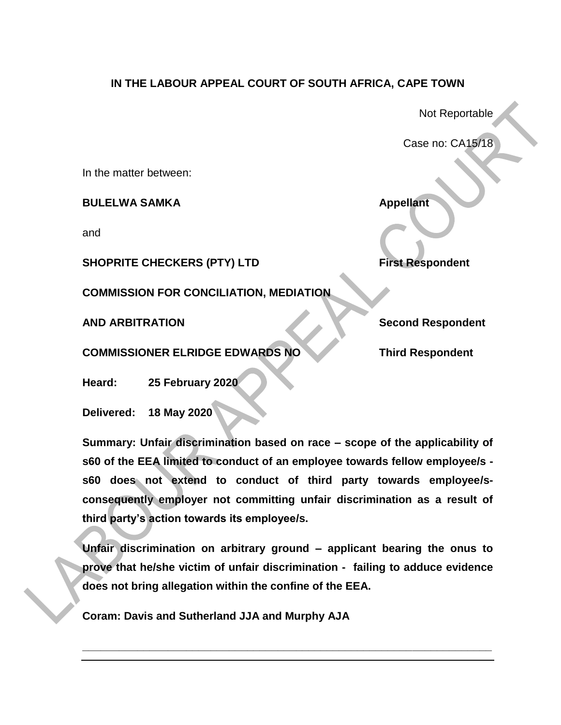# **IN THE LABOUR APPEAL COURT OF SOUTH AFRICA, CAPE TOWN**

Not Reportable

Case no: CA15/18

In the matter between:

**BULELWA SAMKA Appellant** 

and

**SHOPRITE CHECKERS (PTY) LTD** First Respondent

**COMMISSION FOR CONCILIATION, MEDIATION**

**AND ARBITRATION Second Respondent**

**COMMISSIONER ELRIDGE EDWARDS NO Third Respondent** 

**Heard: 25 February 2020**

**Delivered: 18 May 2020**

**Summary: Unfair discrimination based on race – scope of the applicability of s60 of the EEA limited to conduct of an employee towards fellow employee/s s60 does not extend to conduct of third party towards employee/sconsequently employer not committing unfair discrimination as a result of third party's action towards its employee/s.** 

**Unfair discrimination on arbitrary ground – applicant bearing the onus to prove that he/she victim of unfair discrimination - failing to adduce evidence does not bring allegation within the confine of the EEA.** 

**\_\_\_\_\_\_\_\_\_\_\_\_\_\_\_\_\_\_\_\_\_\_\_\_\_\_\_\_\_\_\_\_\_\_\_\_\_\_\_\_\_\_\_\_\_\_\_\_\_\_\_\_\_\_\_\_\_\_\_\_\_\_\_\_\_\_\_**

**Coram: Davis and Sutherland JJA and Murphy AJA**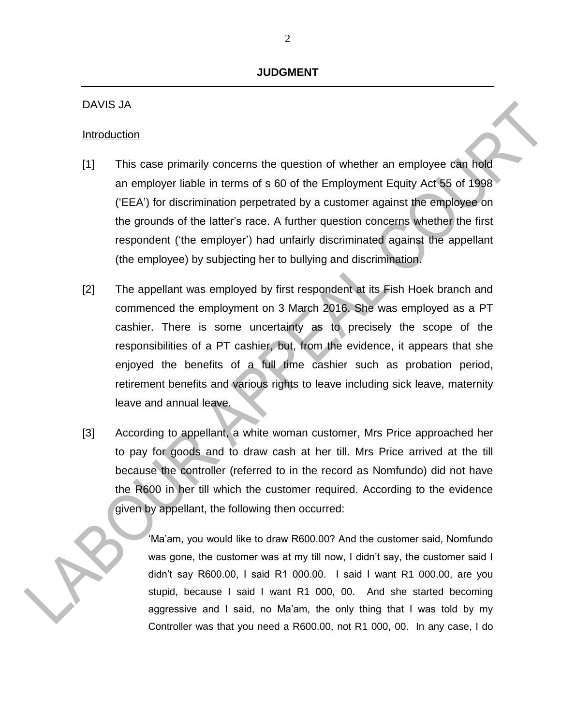#### DAVIS JA

#### Introduction

- [1] This case primarily concerns the question of whether an employee can hold an employer liable in terms of s 60 of the Employment Equity Act 55 of 1998 ('EEA') for discrimination perpetrated by a customer against the employee on the grounds of the latter's race. A further question concerns whether the first respondent ('the employer') had unfairly discriminated against the appellant (the employee) by subjecting her to bullying and discrimination.
- [2] The appellant was employed by first respondent at its Fish Hoek branch and commenced the employment on 3 March 2016. She was employed as a PT cashier. There is some uncertainty as to precisely the scope of the responsibilities of a PT cashier, but, from the evidence, it appears that she enjoyed the benefits of a full time cashier such as probation period, retirement benefits and various rights to leave including sick leave, maternity leave and annual leave.
- [3] According to appellant, a white woman customer, Mrs Price approached her to pay for goods and to draw cash at her till. Mrs Price arrived at the till because the controller (referred to in the record as Nomfundo) did not have the R600 in her till which the customer required. According to the evidence given by appellant, the following then occurred:

'Ma'am, you would like to draw R600.00? And the customer said, Nomfundo was gone, the customer was at my till now, I didn't say, the customer said I didn't say R600.00, I said R1 000.00. I said I want R1 000.00, are you stupid, because I said I want R1 000, 00. And she started becoming aggressive and I said, no Ma'am, the only thing that I was told by my Controller was that you need a R600.00, not R1 000, 00. In any case, I do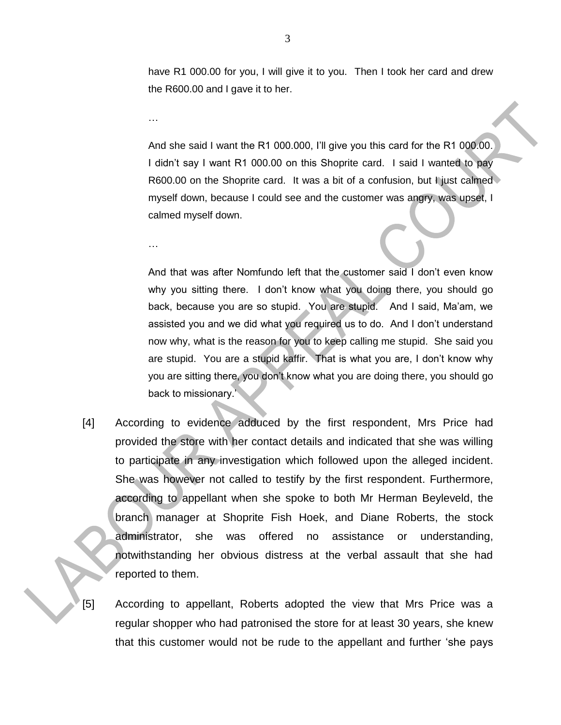have R1 000.00 for you, I will give it to you. Then I took her card and drew the R600.00 and I gave it to her.

And she said I want the R1 000.000, I'll give you this card for the R1 000.00. I didn't say I want R1 000.00 on this Shoprite card. I said I wanted to pay R600.00 on the Shoprite card. It was a bit of a confusion, but I just calmed myself down, because I could see and the customer was angry, was upset, I calmed myself down.

…

…

And that was after Nomfundo left that the customer said I don't even know why you sitting there. I don't know what you doing there, you should go back, because you are so stupid. You are stupid. And I said, Ma'am, we assisted you and we did what you required us to do. And I don't understand now why, what is the reason for you to keep calling me stupid. She said you are stupid. You are a stupid kaffir. That is what you are, I don't know why you are sitting there, you don't know what you are doing there, you should go back to missionary.'

[4] According to evidence adduced by the first respondent, Mrs Price had provided the store with her contact details and indicated that she was willing to participate in any investigation which followed upon the alleged incident. She was however not called to testify by the first respondent. Furthermore, according to appellant when she spoke to both Mr Herman Beyleveld, the branch manager at Shoprite Fish Hoek, and Diane Roberts, the stock administrator, she was offered no assistance or understanding, notwithstanding her obvious distress at the verbal assault that she had reported to them.

[5] According to appellant, Roberts adopted the view that Mrs Price was a regular shopper who had patronised the store for at least 30 years, she knew that this customer would not be rude to the appellant and further 'she pays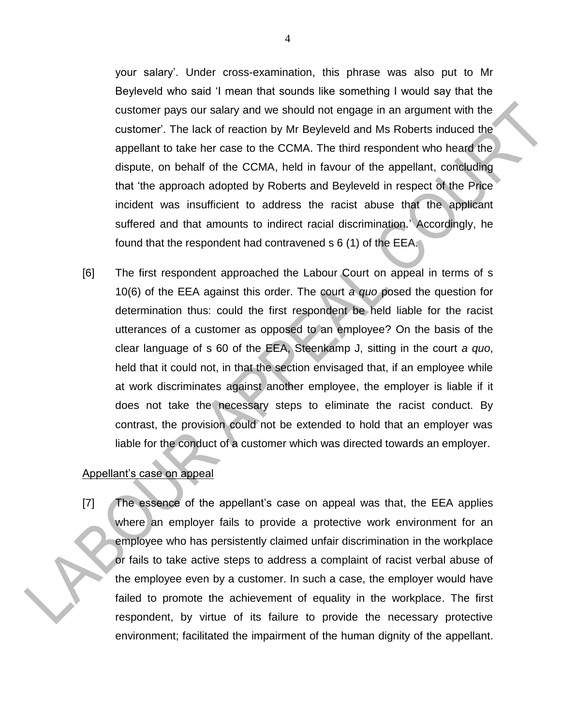your salary'. Under cross-examination, this phrase was also put to Mr Beyleveld who said 'I mean that sounds like something I would say that the customer pays our salary and we should not engage in an argument with the customer'. The lack of reaction by Mr Beyleveld and Ms Roberts induced the appellant to take her case to the CCMA. The third respondent who heard the dispute, on behalf of the CCMA, held in favour of the appellant, concluding that 'the approach adopted by Roberts and Beyleveld in respect of the Price incident was insufficient to address the racist abuse that the applicant suffered and that amounts to indirect racial discrimination.' Accordingly, he found that the respondent had contravened s 6 (1) of the EEA.

[6] The first respondent approached the Labour Court on appeal in terms of s 10(6) of the EEA against this order. The court *a quo* posed the question for determination thus: could the first respondent be held liable for the racist utterances of a customer as opposed to an employee? On the basis of the clear language of s 60 of the EEA, Steenkamp J, sitting in the court *a quo*, held that it could not, in that the section envisaged that, if an employee while at work discriminates against another employee, the employer is liable if it does not take the necessary steps to eliminate the racist conduct. By contrast, the provision could not be extended to hold that an employer was liable for the conduct of a customer which was directed towards an employer.

### Appellant's case on appeal

[7] The essence of the appellant's case on appeal was that, the EEA applies where an employer fails to provide a protective work environment for an employee who has persistently claimed unfair discrimination in the workplace or fails to take active steps to address a complaint of racist verbal abuse of the employee even by a customer. In such a case, the employer would have failed to promote the achievement of equality in the workplace. The first respondent, by virtue of its failure to provide the necessary protective environment; facilitated the impairment of the human dignity of the appellant.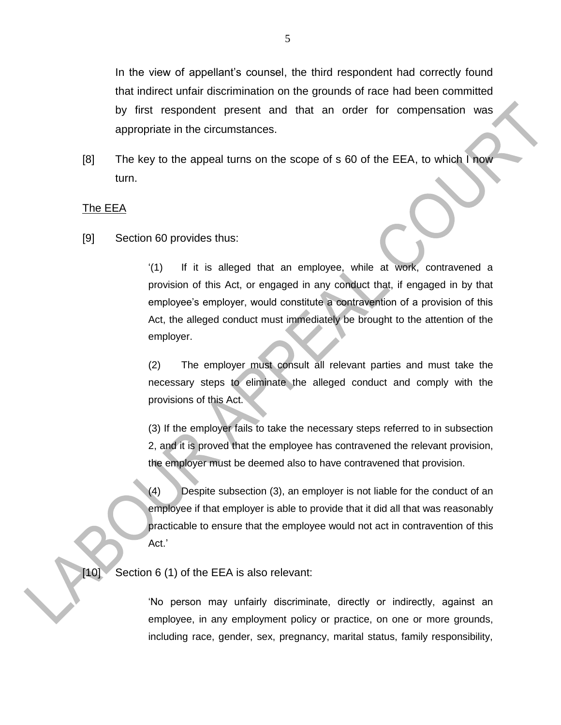In the view of appellant's counsel, the third respondent had correctly found that indirect unfair discrimination on the grounds of race had been committed by first respondent present and that an order for compensation was appropriate in the circumstances.

[8] The key to the appeal turns on the scope of s 60 of the EEA, to which I now turn.

## The EEA

[9] Section 60 provides thus:

'(1) If it is alleged that an employee, while at work, contravened a provision of this Act, or engaged in any conduct that, if engaged in by that employee's employer, would constitute a contravention of a provision of this Act, the alleged conduct must immediately be brought to the attention of the employer.

(2) The employer must consult all relevant parties and must take the necessary steps to eliminate the alleged conduct and comply with the provisions of this Act.

(3) If the employer fails to take the necessary steps referred to in subsection 2, and it is proved that the employee has contravened the relevant provision, the employer must be deemed also to have contravened that provision.

(4) Despite subsection (3), an employer is not liable for the conduct of an employee if that employer is able to provide that it did all that was reasonably practicable to ensure that the employee would not act in contravention of this Act.'

# [10] Section 6 (1) of the EEA is also relevant:

'No person may unfairly discriminate, directly or indirectly, against an employee, in any employment policy or practice, on one or more grounds, including race, gender, sex, pregnancy, marital status, family responsibility,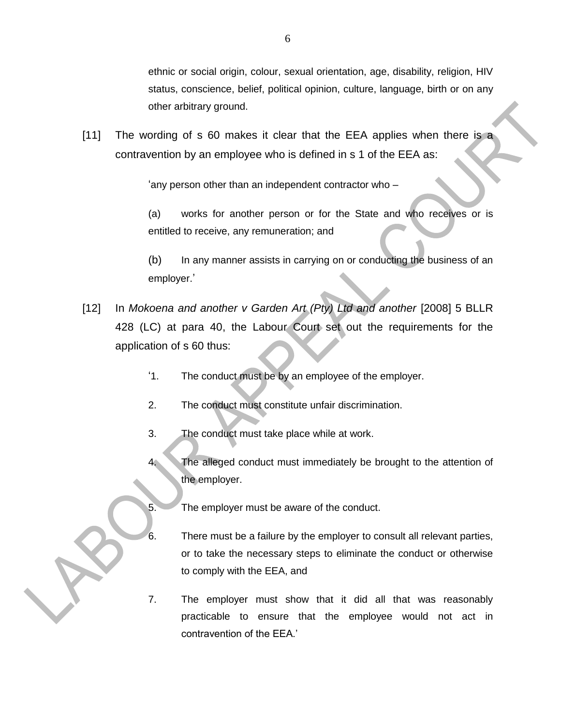[11] The wording of s 60 makes it clear that the EEA applies when there is a contravention by an employee who is defined in s 1 of the EEA as:

'any person other than an independent contractor who –

(a) works for another person or for the State and who receives or is entitled to receive, any remuneration; and

(b) In any manner assists in carrying on or conducting the business of an employer.'

- [12] In *Mokoena and another v Garden Art (Pty) Ltd and another* [2008] 5 BLLR 428 (LC) at para 40, the Labour Court set out the requirements for the application of s 60 thus:
	- '1. The conduct must be by an employee of the employer.
	- 2. The conduct must constitute unfair discrimination.
	- 3. The conduct must take place while at work.
	- 4. The alleged conduct must immediately be brought to the attention of the employer.
	- 5. The employer must be aware of the conduct.
	- 6. There must be a failure by the employer to consult all relevant parties, or to take the necessary steps to eliminate the conduct or otherwise to comply with the EEA, and
	- 7. The employer must show that it did all that was reasonably practicable to ensure that the employee would not act in contravention of the EEA.'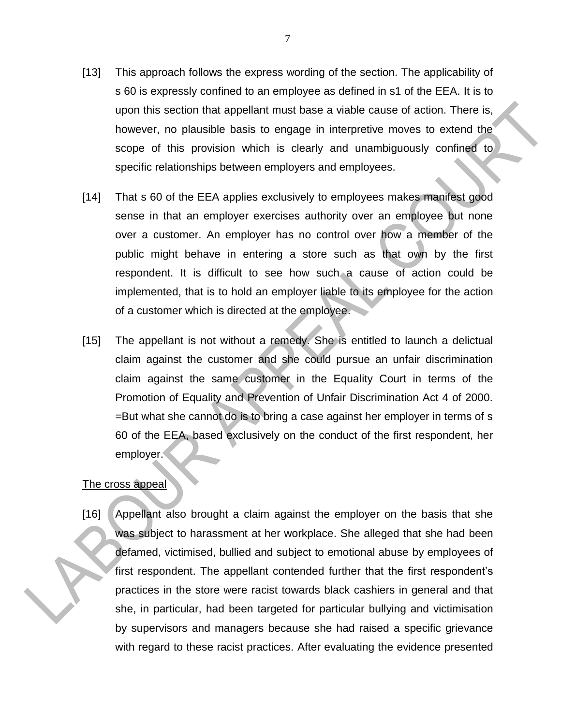- [13] This approach follows the express wording of the section. The applicability of s 60 is expressly confined to an employee as defined in s1 of the EEA. It is to upon this section that appellant must base a viable cause of action. There is, however, no plausible basis to engage in interpretive moves to extend the scope of this provision which is clearly and unambiguously confined to specific relationships between employers and employees.
- [14] That s 60 of the EEA applies exclusively to employees makes manifest good sense in that an employer exercises authority over an employee but none over a customer. An employer has no control over how a member of the public might behave in entering a store such as that own by the first respondent. It is difficult to see how such a cause of action could be implemented, that is to hold an employer liable to its employee for the action of a customer which is directed at the employee.
- [15] The appellant is not without a remedy. She is entitled to launch a delictual claim against the customer and she could pursue an unfair discrimination claim against the same customer in the Equality Court in terms of the Promotion of Equality and Prevention of Unfair Discrimination Act 4 of 2000. =But what she cannot do is to bring a case against her employer in terms of s 60 of the EEA, based exclusively on the conduct of the first respondent, her employer.

### The cross appeal

[16] Appellant also brought a claim against the employer on the basis that she was subject to harassment at her workplace. She alleged that she had been defamed, victimised, bullied and subject to emotional abuse by employees of first respondent. The appellant contended further that the first respondent's practices in the store were racist towards black cashiers in general and that she, in particular, had been targeted for particular bullying and victimisation by supervisors and managers because she had raised a specific grievance with regard to these racist practices. After evaluating the evidence presented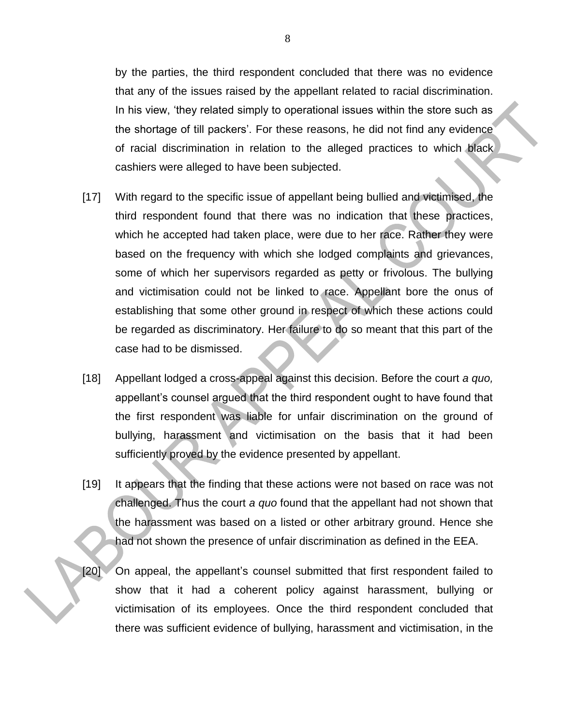by the parties, the third respondent concluded that there was no evidence that any of the issues raised by the appellant related to racial discrimination. In his view, 'they related simply to operational issues within the store such as the shortage of till packers'. For these reasons, he did not find any evidence of racial discrimination in relation to the alleged practices to which black cashiers were alleged to have been subjected.

- [17] With regard to the specific issue of appellant being bullied and victimised, the third respondent found that there was no indication that these practices, which he accepted had taken place, were due to her race. Rather they were based on the frequency with which she lodged complaints and grievances, some of which her supervisors regarded as petty or frivolous. The bullying and victimisation could not be linked to race. Appellant bore the onus of establishing that some other ground in respect of which these actions could be regarded as discriminatory. Her failure to do so meant that this part of the case had to be dismissed.
- [18] Appellant lodged a cross-appeal against this decision. Before the court *a quo,* appellant's counsel argued that the third respondent ought to have found that the first respondent was liable for unfair discrimination on the ground of bullying, harassment and victimisation on the basis that it had been sufficiently proved by the evidence presented by appellant.
- [19] It appears that the finding that these actions were not based on race was not challenged. Thus the court *a quo* found that the appellant had not shown that the harassment was based on a listed or other arbitrary ground. Hence she had not shown the presence of unfair discrimination as defined in the EEA.
- [20] On appeal, the appellant's counsel submitted that first respondent failed to show that it had a coherent policy against harassment, bullying or victimisation of its employees. Once the third respondent concluded that there was sufficient evidence of bullying, harassment and victimisation, in the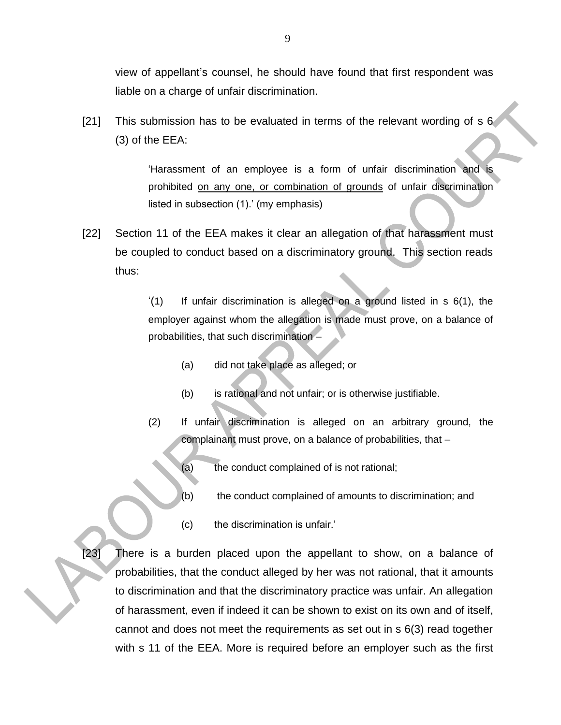view of appellant's counsel, he should have found that first respondent was liable on a charge of unfair discrimination.

[21] This submission has to be evaluated in terms of the relevant wording of s 6 (3) of the EEA:

> 'Harassment of an employee is a form of unfair discrimination and is prohibited on any one, or combination of grounds of unfair discrimination listed in subsection (1).' (my emphasis)

[22] Section 11 of the EEA makes it clear an allegation of that harassment must be coupled to conduct based on a discriminatory ground. This section reads thus:

> $(1)$  If unfair discrimination is alleged on a ground listed in s  $6(1)$ , the employer against whom the allegation is made must prove, on a balance of probabilities, that such discrimination –

- (a) did not take place as alleged; or
- (b) is rational and not unfair; or is otherwise justifiable.
- (2) If unfair discrimination is alleged on an arbitrary ground, the complainant must prove, on a balance of probabilities, that –
	- (a) the conduct complained of is not rational;
	- (b) the conduct complained of amounts to discrimination; and
	- (c) the discrimination is unfair.'
- [23] There is a burden placed upon the appellant to show, on a balance of probabilities, that the conduct alleged by her was not rational, that it amounts to discrimination and that the discriminatory practice was unfair. An allegation of harassment, even if indeed it can be shown to exist on its own and of itself, cannot and does not meet the requirements as set out in s 6(3) read together with s 11 of the EEA. More is required before an employer such as the first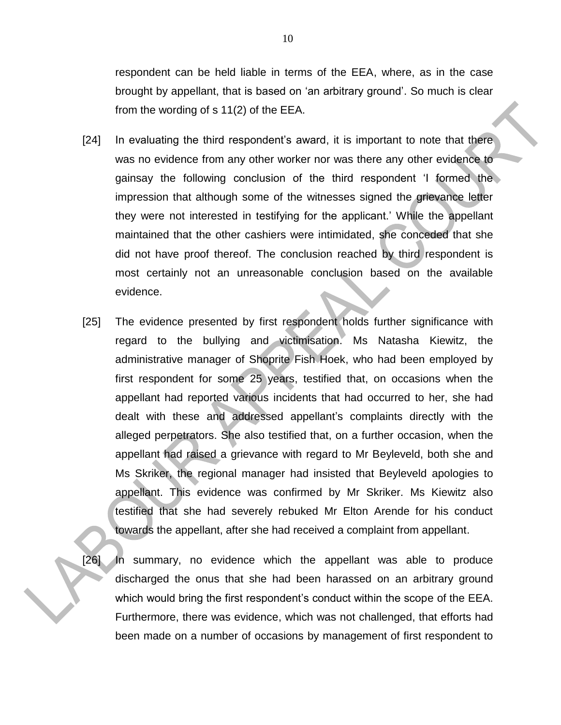respondent can be held liable in terms of the EEA, where, as in the case brought by appellant, that is based on 'an arbitrary ground'. So much is clear from the wording of s 11(2) of the EEA.

- [24] In evaluating the third respondent's award, it is important to note that there was no evidence from any other worker nor was there any other evidence to gainsay the following conclusion of the third respondent 'I formed the impression that although some of the witnesses signed the grievance letter they were not interested in testifying for the applicant.' While the appellant maintained that the other cashiers were intimidated, she conceded that she did not have proof thereof. The conclusion reached by third respondent is most certainly not an unreasonable conclusion based on the available evidence.
- [25] The evidence presented by first respondent holds further significance with regard to the bullying and victimisation. Ms Natasha Kiewitz, the administrative manager of Shoprite Fish Hoek, who had been employed by first respondent for some 25 years, testified that, on occasions when the appellant had reported various incidents that had occurred to her, she had dealt with these and addressed appellant's complaints directly with the alleged perpetrators. She also testified that, on a further occasion, when the appellant had raised a grievance with regard to Mr Beyleveld, both she and Ms Skriker, the regional manager had insisted that Beyleveld apologies to appellant. This evidence was confirmed by Mr Skriker. Ms Kiewitz also testified that she had severely rebuked Mr Elton Arende for his conduct towards the appellant, after she had received a complaint from appellant.
- [26] In summary, no evidence which the appellant was able to produce discharged the onus that she had been harassed on an arbitrary ground which would bring the first respondent's conduct within the scope of the EEA. Furthermore, there was evidence, which was not challenged, that efforts had been made on a number of occasions by management of first respondent to